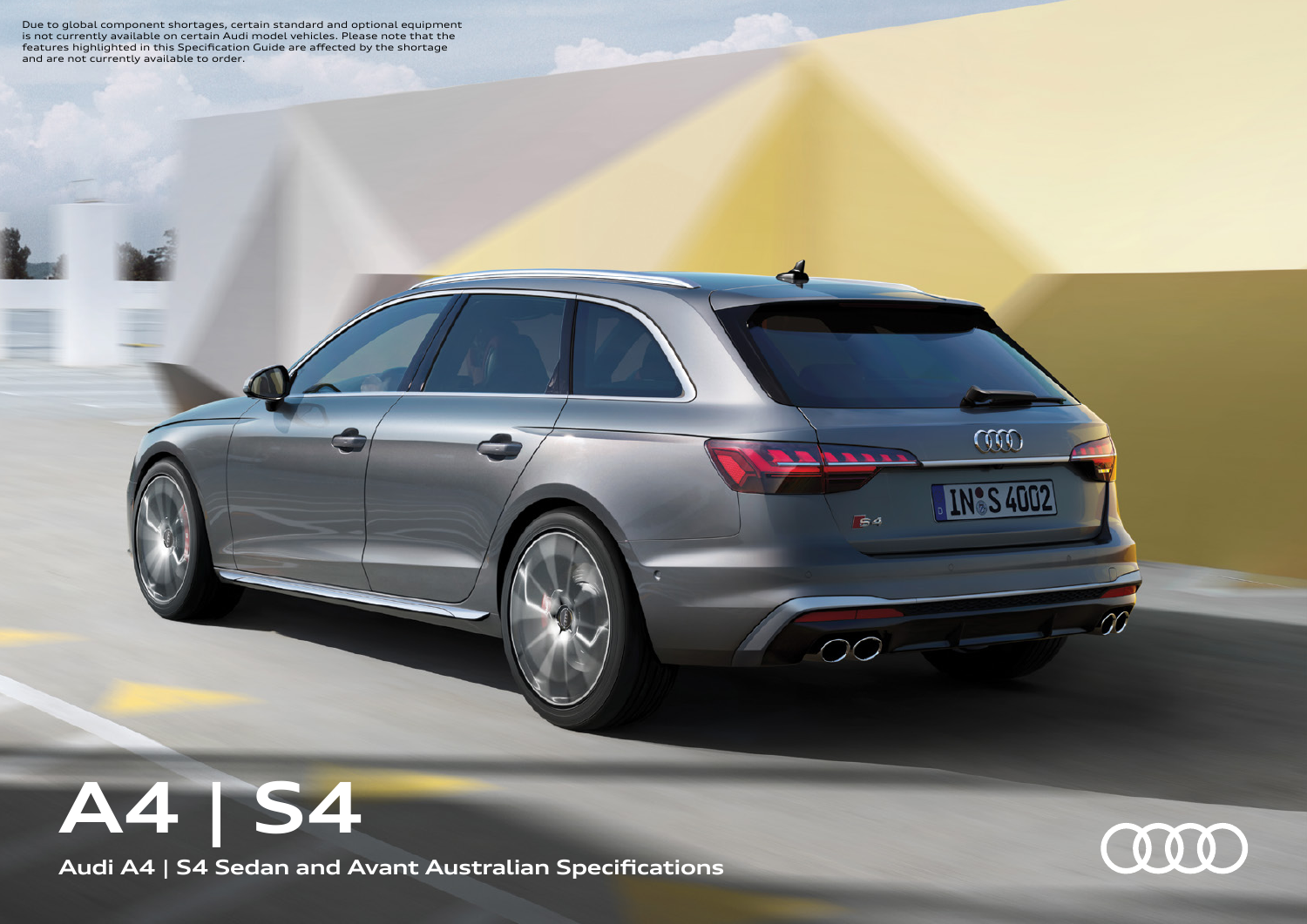Due to global component shortages, certain standard and optional equipment is not currently available on certain Audi model vehicles. Please note that the features highlighted in this Specification Guide are affected by the shortage and are not currently available to order.

## **A4 | S4**

**Audi A4 | S4 Sedan and Avant Australian Specifications**



COO

**NºS 4002** 

 $\mathbf{r}$ 

 $64$ 

 $OC$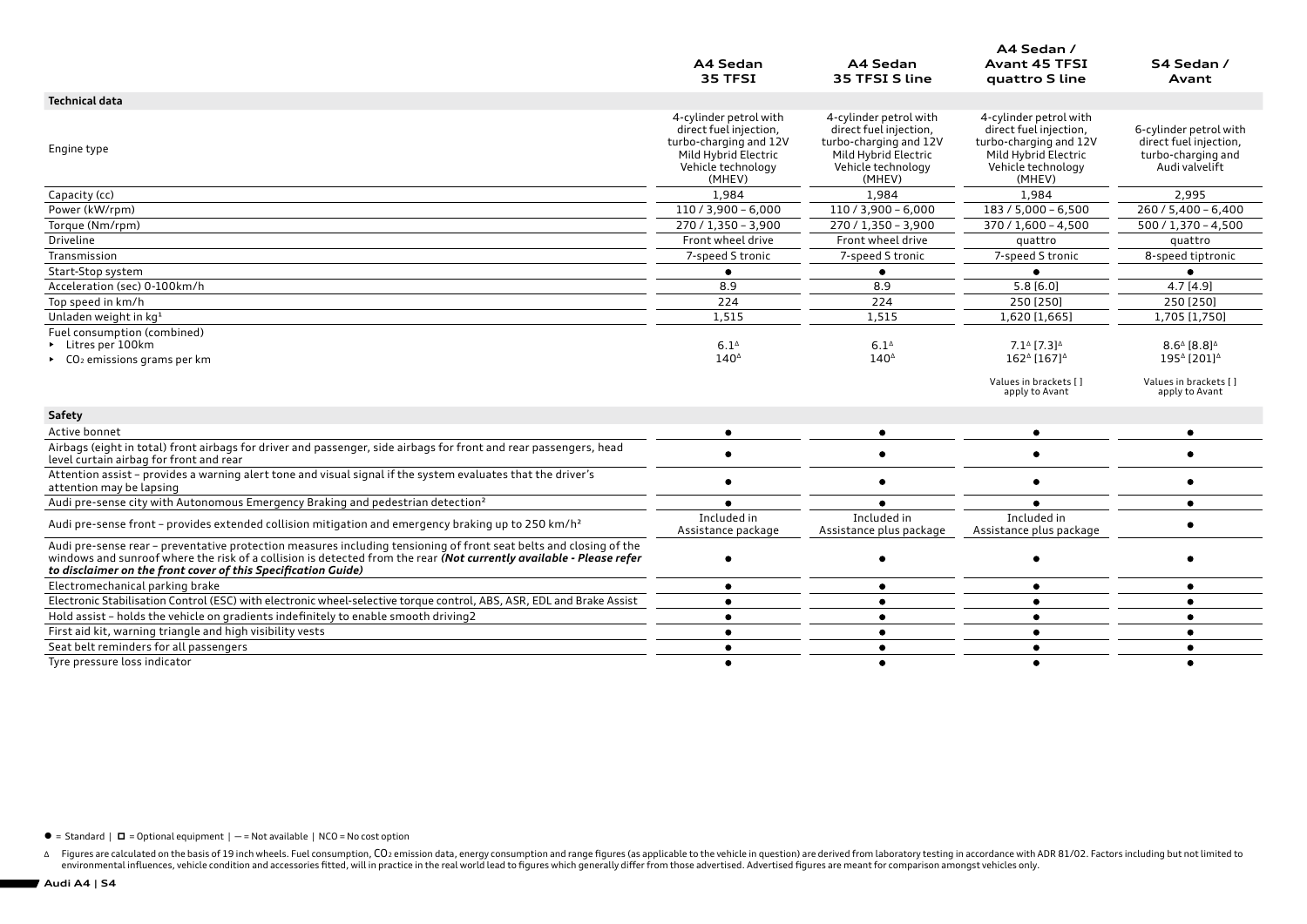|                                                                                                                                                                                                                                                                                                            | A4 Sedan<br>35 TFSI                                                                                                                | A4 Sedan<br>35 TFSI S line                                                                                                         | A4 Sedan /<br><b>Avant 45 TFSI</b><br>quattro S line                                                                               | S4 Sedan /<br>Avant                                                                      |
|------------------------------------------------------------------------------------------------------------------------------------------------------------------------------------------------------------------------------------------------------------------------------------------------------------|------------------------------------------------------------------------------------------------------------------------------------|------------------------------------------------------------------------------------------------------------------------------------|------------------------------------------------------------------------------------------------------------------------------------|------------------------------------------------------------------------------------------|
| <b>Technical data</b>                                                                                                                                                                                                                                                                                      |                                                                                                                                    |                                                                                                                                    |                                                                                                                                    |                                                                                          |
| Engine type                                                                                                                                                                                                                                                                                                | 4-cylinder petrol with<br>direct fuel injection,<br>turbo-charging and 12V<br>Mild Hybrid Electric<br>Vehicle technology<br>(MHEV) | 4-cylinder petrol with<br>direct fuel injection,<br>turbo-charging and 12V<br>Mild Hybrid Electric<br>Vehicle technology<br>(MHEV) | 4-cylinder petrol with<br>direct fuel injection,<br>turbo-charging and 12V<br>Mild Hybrid Electric<br>Vehicle technology<br>(MHEV) | 6-cylinder petrol with<br>direct fuel injection,<br>turbo-charging and<br>Audi valvelift |
| Capacity (cc)                                                                                                                                                                                                                                                                                              | 1,984                                                                                                                              | 1,984                                                                                                                              | 1,984                                                                                                                              | 2,995                                                                                    |
| Power (kW/rpm)                                                                                                                                                                                                                                                                                             | $110/3,900 - 6,000$                                                                                                                | $110 / 3,900 - 6,000$                                                                                                              | $183 / 5,000 - 6,500$                                                                                                              | $260/5,400 - 6,400$                                                                      |
| Torque (Nm/rpm)                                                                                                                                                                                                                                                                                            | 270 / 1,350 - 3,900                                                                                                                | $270/1,350 - 3,900$                                                                                                                | $370 / 1,600 - 4,500$                                                                                                              | $500 / 1,370 - 4,500$                                                                    |
| Driveline                                                                                                                                                                                                                                                                                                  | Front wheel drive                                                                                                                  | Front wheel drive                                                                                                                  | quattro                                                                                                                            | quattro                                                                                  |
| Transmission                                                                                                                                                                                                                                                                                               | 7-speed S tronic                                                                                                                   | 7-speed S tronic                                                                                                                   | 7-speed S tronic                                                                                                                   | 8-speed tiptronic                                                                        |
| Start-Stop system                                                                                                                                                                                                                                                                                          | $\bullet$                                                                                                                          | $\bullet$                                                                                                                          |                                                                                                                                    | ٠                                                                                        |
| Acceleration (sec) 0-100km/h                                                                                                                                                                                                                                                                               | 8.9                                                                                                                                | 8.9                                                                                                                                | 5.8[6.0]                                                                                                                           | 4.7[4.9]                                                                                 |
| Top speed in km/h                                                                                                                                                                                                                                                                                          | 224                                                                                                                                | 224                                                                                                                                | 250 [250]                                                                                                                          | 250 [250]                                                                                |
| Unladen weight in kg <sup>1</sup>                                                                                                                                                                                                                                                                          | 1,515                                                                                                                              | 1,515                                                                                                                              | 1,620 [1,665]                                                                                                                      | 1,705 [1,750]                                                                            |
| Fuel consumption (combined)                                                                                                                                                                                                                                                                                |                                                                                                                                    |                                                                                                                                    |                                                                                                                                    |                                                                                          |
| Litres per 100km                                                                                                                                                                                                                                                                                           | $6.1^{\circ}$                                                                                                                      | $6.1^{\circ}$                                                                                                                      | $7.1^{\circ}$ [7.3] <sup><math>\triangle</math></sup>                                                                              | $8.6^{\circ}$ [8.8] <sup><math>\circ</math></sup>                                        |
| CO <sub>2</sub> emissions grams per km                                                                                                                                                                                                                                                                     | $140^{\circ}$                                                                                                                      | $140^{\circ}$                                                                                                                      | 1624 [167] <sup><math>\triangle</math></sup>                                                                                       | 1954 [201] <sup>4</sup>                                                                  |
|                                                                                                                                                                                                                                                                                                            |                                                                                                                                    |                                                                                                                                    | Values in brackets []<br>apply to Avant                                                                                            | Values in brackets []<br>apply to Avant                                                  |
| Safety                                                                                                                                                                                                                                                                                                     |                                                                                                                                    |                                                                                                                                    |                                                                                                                                    |                                                                                          |
| Active bonnet                                                                                                                                                                                                                                                                                              | $\bullet$                                                                                                                          | $\bullet$                                                                                                                          |                                                                                                                                    |                                                                                          |
| Airbags (eight in total) front airbags for driver and passenger, side airbags for front and rear passengers, head<br>level curtain airbag for front and rear                                                                                                                                               |                                                                                                                                    |                                                                                                                                    |                                                                                                                                    |                                                                                          |
| Attention assist - provides a warning alert tone and visual signal if the system evaluates that the driver's<br>attention may be lapsing                                                                                                                                                                   |                                                                                                                                    | $\bullet$                                                                                                                          |                                                                                                                                    |                                                                                          |
| Audi pre-sense city with Autonomous Emergency Braking and pedestrian detection <sup>2</sup>                                                                                                                                                                                                                |                                                                                                                                    | $\bullet$                                                                                                                          |                                                                                                                                    | $\bullet$                                                                                |
| Audi pre-sense front - provides extended collision mitigation and emergency braking up to 250 km/h <sup>2</sup>                                                                                                                                                                                            | Included in<br>Assistance package                                                                                                  | Included in<br>Assistance plus package                                                                                             | Included in<br>Assistance plus package                                                                                             |                                                                                          |
| Audi pre-sense rear - preventative protection measures including tensioning of front seat belts and closing of the<br>windows and sunroof where the risk of a collision is detected from the rear (Not currently available - Please refer<br>to disclaimer on the front cover of this Specification Guide) |                                                                                                                                    | $\bullet$                                                                                                                          |                                                                                                                                    |                                                                                          |
| Electromechanical parking brake                                                                                                                                                                                                                                                                            | ٠                                                                                                                                  | $\bullet$                                                                                                                          | ٠                                                                                                                                  | ٠                                                                                        |
| Electronic Stabilisation Control (ESC) with electronic wheel-selective torque control, ABS, ASR, EDL and Brake Assist                                                                                                                                                                                      |                                                                                                                                    | ٠                                                                                                                                  |                                                                                                                                    | ٠                                                                                        |
| Hold assist - holds the vehicle on gradients indefinitely to enable smooth driving2                                                                                                                                                                                                                        |                                                                                                                                    | $\bullet$                                                                                                                          |                                                                                                                                    |                                                                                          |
| First aid kit, warning triangle and high visibility vests                                                                                                                                                                                                                                                  | $\bullet$                                                                                                                          | $\bullet$                                                                                                                          | $\bullet$                                                                                                                          | $\bullet$                                                                                |
| Seat belt reminders for all passengers                                                                                                                                                                                                                                                                     |                                                                                                                                    | $\bullet$                                                                                                                          | ٠                                                                                                                                  | $\bullet$                                                                                |
| Tyre pressure loss indicator                                                                                                                                                                                                                                                                               |                                                                                                                                    | $\bullet$                                                                                                                          |                                                                                                                                    |                                                                                          |

 $\bullet$  = Standard |  $\Box$  = Optional equipment | - = Not available | NCO = No cost option

∆ Figures are calculated on the basis of 19 inch wheels. Fuel consumption, CO2 emission data, energy consumption and range figures (as applicable to the vehicle in question) are derived from laboratory testing in accordan

**Audi A4 | S4**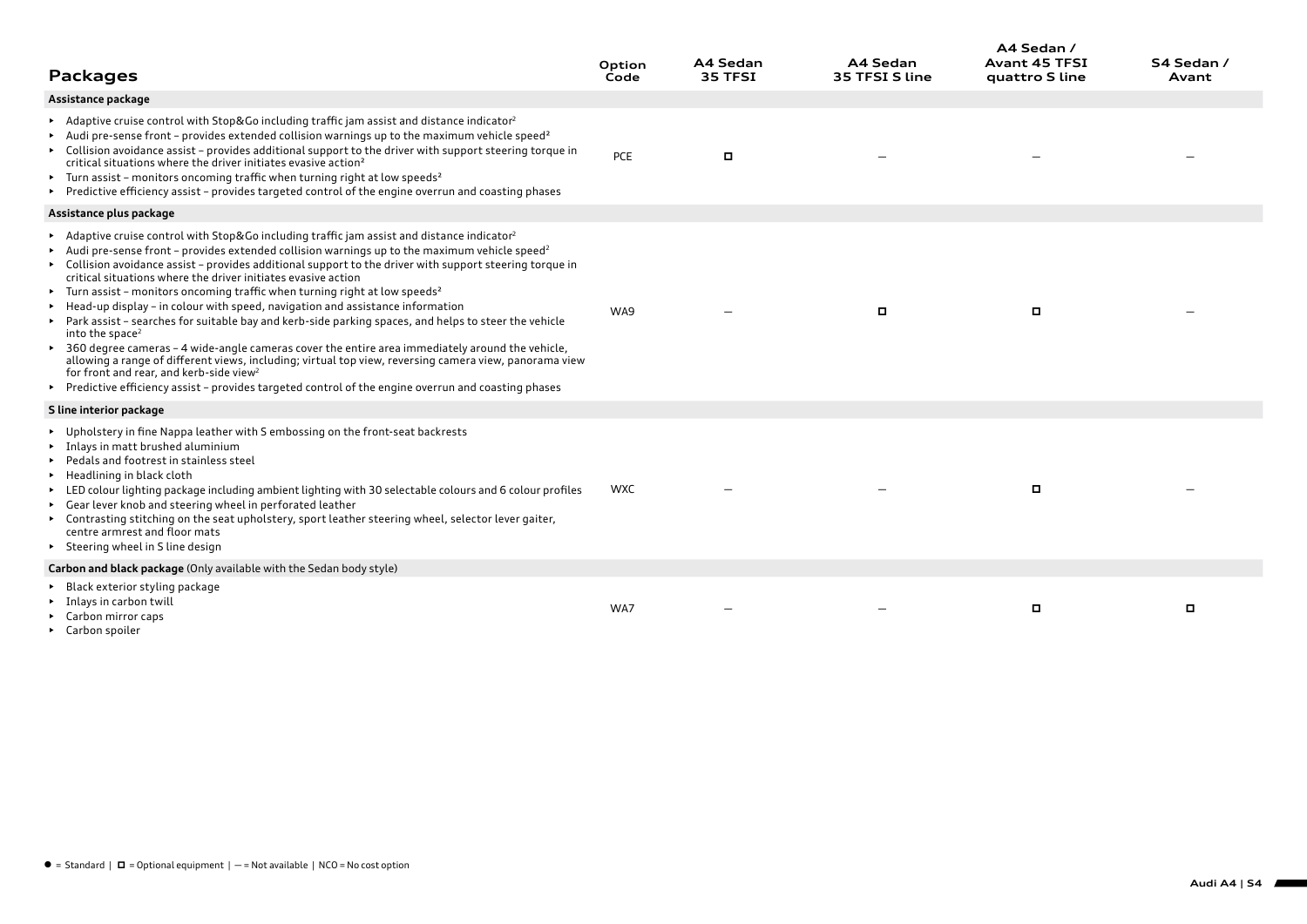| <b>Packages</b>                                                                                                                                                                                                                                                                                                                                                                                                                                                                                                                                                                                                                                                                                                                                                                                                                                                                                                                                                                                                                                                                                          | Option<br>Code | A4 Sedan<br>35 TFSI | A4 Sedan<br>35 TFSI S line | A4 Sedan /<br><b>Avant 45 TFSI</b><br>quattro S line | S4 Sedan /<br>Avant |
|----------------------------------------------------------------------------------------------------------------------------------------------------------------------------------------------------------------------------------------------------------------------------------------------------------------------------------------------------------------------------------------------------------------------------------------------------------------------------------------------------------------------------------------------------------------------------------------------------------------------------------------------------------------------------------------------------------------------------------------------------------------------------------------------------------------------------------------------------------------------------------------------------------------------------------------------------------------------------------------------------------------------------------------------------------------------------------------------------------|----------------|---------------------|----------------------------|------------------------------------------------------|---------------------|
| Assistance package                                                                                                                                                                                                                                                                                                                                                                                                                                                                                                                                                                                                                                                                                                                                                                                                                                                                                                                                                                                                                                                                                       |                |                     |                            |                                                      |                     |
| Adaptive cruise control with Stop&Go including traffic jam assist and distance indicator <sup>2</sup><br>Audi pre-sense front - provides extended collision warnings up to the maximum vehicle speed <sup>2</sup><br>► Collision avoidance assist - provides additional support to the driver with support steering torque in<br>critical situations where the driver initiates evasive action <sup>2</sup><br>Furn assist - monitors oncoming traffic when turning right at low speeds <sup>2</sup><br>▶ Predictive efficiency assist - provides targeted control of the engine overrun and coasting phases                                                                                                                                                                                                                                                                                                                                                                                                                                                                                             | PCE            |                     |                            |                                                      |                     |
| Assistance plus package                                                                                                                                                                                                                                                                                                                                                                                                                                                                                                                                                                                                                                                                                                                                                                                                                                                                                                                                                                                                                                                                                  |                |                     |                            |                                                      |                     |
| Adaptive cruise control with Stop&Go including traffic jam assist and distance indicator <sup>2</sup><br>Audi pre-sense front - provides extended collision warnings up to the maximum vehicle speed <sup>2</sup><br>► Collision avoidance assist - provides additional support to the driver with support steering torque in<br>critical situations where the driver initiates evasive action<br>Furn assist - monitors oncoming traffic when turning right at low speeds <sup>2</sup><br>Example 16 Head-up display - in colour with speed, navigation and assistance information<br>► Park assist – searches for suitable bay and kerb-side parking spaces, and helps to steer the vehicle<br>into the space <sup>2</sup><br>▶ 360 degree cameras - 4 wide-angle cameras cover the entire area immediately around the vehicle,<br>allowing a range of different views, including; virtual top view, reversing camera view, panorama view<br>for front and rear, and kerb-side view <sup>2</sup><br>Predictive efficiency assist - provides targeted control of the engine overrun and coasting phases | WA9            |                     | о                          | ۰                                                    |                     |
| S line interior package                                                                                                                                                                                                                                                                                                                                                                                                                                                                                                                                                                                                                                                                                                                                                                                                                                                                                                                                                                                                                                                                                  |                |                     |                            |                                                      |                     |
| ▶ Upholstery in fine Nappa leather with S embossing on the front-seat backrests<br>Inlays in matt brushed aluminium<br>Pedals and footrest in stainless steel<br>▶ Headlining in black cloth<br>ED colour lighting package including ambient lighting with 30 selectable colours and 6 colour profiles<br>► Gear lever knob and steering wheel in perforated leather<br>► Contrasting stitching on the seat upholstery, sport leather steering wheel, selector lever gaiter,<br>centre armrest and floor mats<br>> Steering wheel in S line design                                                                                                                                                                                                                                                                                                                                                                                                                                                                                                                                                       | <b>WXC</b>     |                     |                            |                                                      |                     |
| Carbon and black package (Only available with the Sedan body style)                                                                                                                                                                                                                                                                                                                                                                                                                                                                                                                                                                                                                                                                                                                                                                                                                                                                                                                                                                                                                                      |                |                     |                            |                                                      |                     |
| ▶ Black exterior styling package<br>Inlays in carbon twill<br>$\triangleright$ Carbon mirror caps<br>$C = \frac{1}{2}$ and $C = \frac{1}{2}$ and $C = \frac{1}{2}$ and $C = \frac{1}{2}$                                                                                                                                                                                                                                                                                                                                                                                                                                                                                                                                                                                                                                                                                                                                                                                                                                                                                                                 | WA7            |                     |                            | о                                                    | o                   |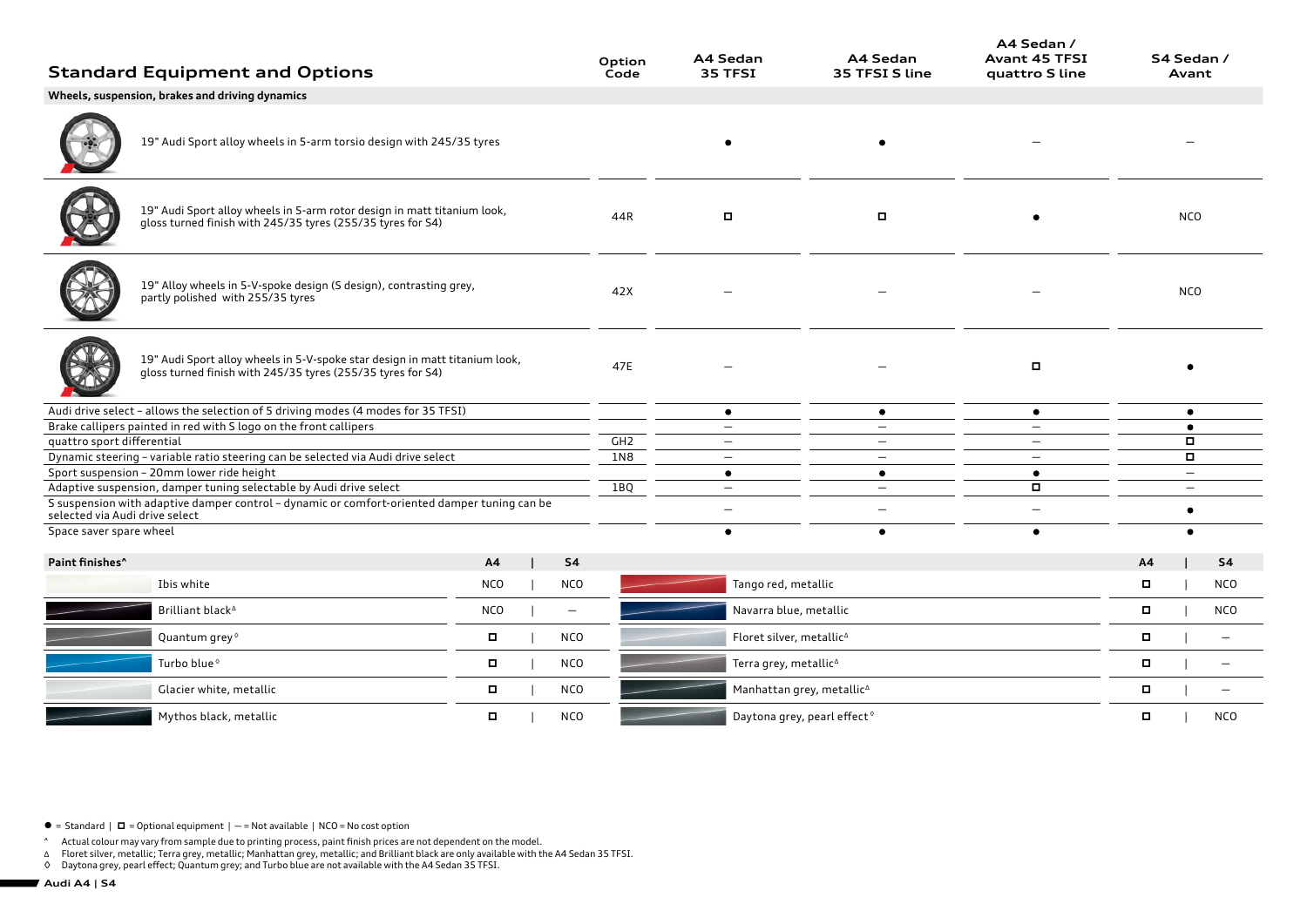|                                | <b>Standard Equipment and Options</b>                                                                                                                              |            |                          | Option<br>Code  | A4 Sedan<br>35 TFSI                     | A4 Sedan<br>35 TFSI S line | A4 Sedan /<br><b>Avant 45 TFSI</b><br>quattro S line |        | S4 Sedan /<br>Avant      |                          |
|--------------------------------|--------------------------------------------------------------------------------------------------------------------------------------------------------------------|------------|--------------------------|-----------------|-----------------------------------------|----------------------------|------------------------------------------------------|--------|--------------------------|--------------------------|
|                                | Wheels, suspension, brakes and driving dynamics                                                                                                                    |            |                          |                 |                                         |                            |                                                      |        |                          |                          |
|                                | 19" Audi Sport alloy wheels in 5-arm torsio design with 245/35 tyres                                                                                               |            |                          |                 |                                         | $\bullet$                  |                                                      |        |                          |                          |
|                                | 19" Audi Sport alloy wheels in 5-arm rotor design in matt titanium look,<br>gloss turned finish with 245/35 tyres (255/35 tyres for S4)                            |            |                          | 44R             | $\Box$                                  | $\blacksquare$             |                                                      |        | <b>NCO</b>               |                          |
|                                | 19" Alloy wheels in 5-V-spoke design (S design), contrasting grey,<br>partly polished with 255/35 tyres                                                            |            |                          | 42X             |                                         |                            |                                                      |        | <b>NCO</b>               |                          |
|                                | 19" Audi Sport alloy wheels in 5-V-spoke star design in matt titanium look,<br>gloss turned finish with 245/35 tyres (255/35 tyres for S4)                         |            |                          | 47E             |                                         |                            | $\Box$                                               |        |                          |                          |
|                                | Audi drive select - allows the selection of 5 driving modes (4 modes for 35 TFSI)                                                                                  |            |                          |                 | $\bullet$                               | $\bullet$                  | ٠                                                    |        | $\bullet$                |                          |
|                                | Brake callipers painted in red with S logo on the front callipers                                                                                                  |            |                          |                 | $\qquad \qquad -$                       | $-$                        | $\overline{\phantom{0}}$                             |        | $\bullet$                |                          |
| quattro sport differential     |                                                                                                                                                                    |            |                          | GH <sub>2</sub> | $\qquad \qquad -$                       |                            |                                                      |        | $\Box$                   |                          |
|                                | Dynamic steering - variable ratio steering can be selected via Audi drive select                                                                                   |            |                          | 1N8             | $-$                                     | $\overline{\phantom{0}}$   |                                                      |        | $\Box$                   |                          |
|                                | Sport suspension - 20mm lower ride height                                                                                                                          |            |                          |                 | $\bullet$                               | $\bullet$                  | $\bullet$                                            |        | $\overline{\phantom{m}}$ |                          |
| selected via Audi drive select | Adaptive suspension, damper tuning selectable by Audi drive select<br>S suspension with adaptive damper control - dynamic or comfort-oriented damper tuning can be |            |                          | 1BQ             | $=$<br>$\overline{\phantom{0}}$         | $\equiv$                   | $\Box$                                               |        | $\equiv$<br>٠            |                          |
| Space saver spare wheel        |                                                                                                                                                                    |            |                          |                 | ٠                                       | $\bullet$                  |                                                      |        | ٠                        |                          |
| Paint finishes <sup>^</sup>    |                                                                                                                                                                    | A4         | <b>S4</b>                |                 |                                         |                            |                                                      | A4     |                          | <b>S4</b>                |
|                                | Ibis white                                                                                                                                                         | <b>NCO</b> | <b>NCO</b>               |                 | Tango red, metallic                     |                            |                                                      | $\Box$ |                          | <b>NCO</b>               |
|                                | Brilliant black <sup>4</sup>                                                                                                                                       | <b>NCO</b> | $\overline{\phantom{m}}$ |                 | Navarra blue, metallic                  |                            |                                                      | $\Box$ |                          | <b>NCO</b>               |
|                                | Quantum grey <sup>®</sup>                                                                                                                                          | о          | <b>NCO</b>               |                 | Floret silver, metallic <sup>4</sup>    |                            |                                                      | $\Box$ |                          | $\overline{\phantom{0}}$ |
|                                | Turbo blue <sup>6</sup>                                                                                                                                            | п          | <b>NCO</b>               |                 | Terra grey, metallic <sup>^</sup>       |                            |                                                      | $\Box$ |                          |                          |
|                                | Glacier white, metallic                                                                                                                                            | п          | <b>NCO</b>               |                 | Manhattan grey, metallic <sup>^</sup>   |                            |                                                      | $\Box$ |                          |                          |
|                                | Mythos black, metallic                                                                                                                                             | о          | <b>NCO</b>               |                 | Daytona grey, pearl effect <sup>o</sup> |                            |                                                      | α      |                          | <b>NCO</b>               |

 $\bullet$  = Standard  $\mid$   $\Box$  = Optional equipment  $\mid$   $-$  = Not available  $\mid$  NCO = No cost option

^ Actual colour may vary from sample due to printing process, paint finish prices are not dependent on the model.<br>∆ Floret silver, metallic; Terra grey, metallic; Manhattan grey, metallic; and Brilliant black are only ava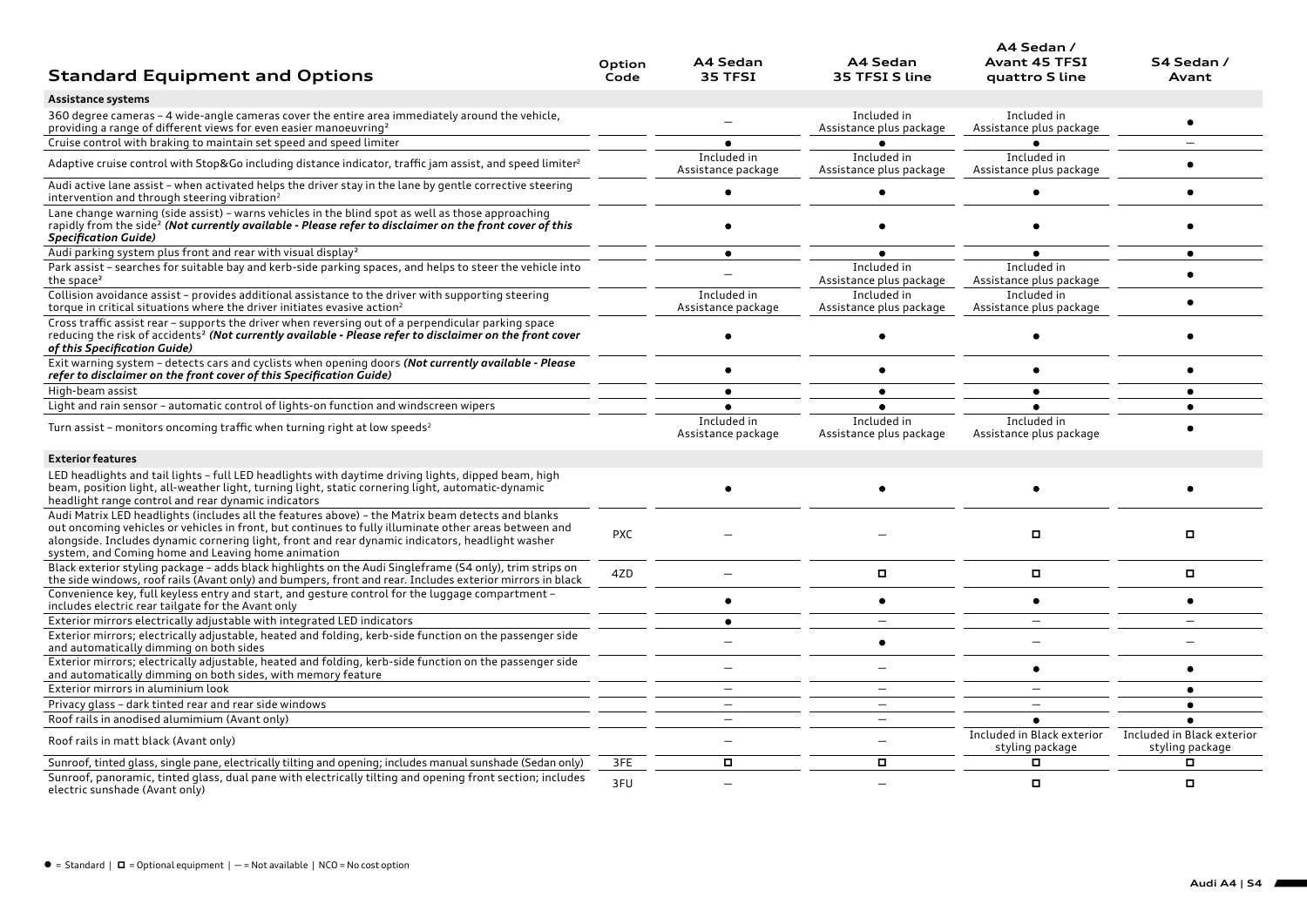| <b>Standard Equipment and Options</b>                                                                                                                                                                                                                                                                                                                                | Option<br>Code | A4 Sedan<br>35 TFSI               | A4 Sedan<br>35 TFSI S line             | A4 Sedan /<br><b>Avant 45 TFSI</b><br>quattro S line | S4 Sedan /<br>Avant                           |
|----------------------------------------------------------------------------------------------------------------------------------------------------------------------------------------------------------------------------------------------------------------------------------------------------------------------------------------------------------------------|----------------|-----------------------------------|----------------------------------------|------------------------------------------------------|-----------------------------------------------|
| Assistance systems                                                                                                                                                                                                                                                                                                                                                   |                |                                   |                                        |                                                      |                                               |
| 360 degree cameras - 4 wide-angle cameras cover the entire area immediately around the vehicle,<br>providing a range of different views for even easier manoeuvring <sup>2</sup>                                                                                                                                                                                     |                |                                   | Included in<br>Assistance plus package | Included in<br>Assistance plus package               |                                               |
| Cruise control with braking to maintain set speed and speed limiter                                                                                                                                                                                                                                                                                                  |                |                                   |                                        |                                                      |                                               |
| Adaptive cruise control with Stop&Go including distance indicator, traffic jam assist, and speed limiter <sup>2</sup>                                                                                                                                                                                                                                                |                | Included in<br>Assistance package | Included in<br>Assistance plus package | Included in<br>Assistance plus package               |                                               |
| Audi active lane assist - when activated helps the driver stay in the lane by gentle corrective steering<br>intervention and through steering vibration <sup>2</sup>                                                                                                                                                                                                 |                |                                   |                                        |                                                      |                                               |
| Lane change warning (side assist) - warns vehicles in the blind spot as well as those approaching<br>rapidly from the side <sup>2</sup> (Not currently available - Please refer to disclaimer on the front cover of this<br><b>Specification Guide)</b>                                                                                                              |                |                                   |                                        |                                                      |                                               |
| Audi parking system plus front and rear with visual display <sup>2</sup>                                                                                                                                                                                                                                                                                             |                |                                   |                                        |                                                      |                                               |
| Park assist - searches for suitable bay and kerb-side parking spaces, and helps to steer the vehicle into<br>the space <sup>2</sup>                                                                                                                                                                                                                                  |                |                                   | Included in<br>Assistance plus package | Included in<br>Assistance plus package               |                                               |
| Collision avoidance assist - provides additional assistance to the driver with supporting steering<br>torque in critical situations where the driver initiates evasive action <sup>2</sup>                                                                                                                                                                           |                | Included in<br>Assistance package | Included in<br>Assistance plus package | Included in<br>Assistance plus package               |                                               |
| Cross traffic assist rear - supports the driver when reversing out of a perpendicular parking space<br>reducing the risk of accidents <sup>2</sup> (Not currently available - Please refer to disclaimer on the front cover<br>of this Specification Guide)                                                                                                          |                |                                   |                                        |                                                      |                                               |
| Exit warning system - detects cars and cyclists when opening doors (Not currently available - Please<br>refer to disclaimer on the front cover of this Specification Guide)                                                                                                                                                                                          |                | $\bullet$                         |                                        |                                                      | ٠                                             |
| High-beam assist                                                                                                                                                                                                                                                                                                                                                     |                | $\bullet$                         | $\bullet$                              | $\bullet$                                            | $\bullet$                                     |
| Light and rain sensor - automatic control of lights-on function and windscreen wipers                                                                                                                                                                                                                                                                                |                |                                   | $\bullet$                              |                                                      | $\bullet$                                     |
| Turn assist - monitors oncoming traffic when turning right at low speeds <sup>2</sup>                                                                                                                                                                                                                                                                                |                | Included in<br>Assistance package | Included in<br>Assistance plus package | Included in<br>Assistance plus package               |                                               |
| <b>Exterior features</b>                                                                                                                                                                                                                                                                                                                                             |                |                                   |                                        |                                                      |                                               |
| LED headlights and tail lights - full LED headlights with daytime driving lights, dipped beam, high<br>beam, position light, all-weather light, turning light, static cornering light, automatic-dynamic<br>headlight range control and rear dynamic indicators                                                                                                      |                |                                   | $\bullet$                              |                                                      |                                               |
| Audi Matrix LED headlights (includes all the features above) - the Matrix beam detects and blanks<br>out oncoming vehicles or vehicles in front, but continues to fully illuminate other areas between and<br>alongside. Includes dynamic cornering light, front and rear dynamic indicators, headlight washer<br>system, and Coming home and Leaving home animation | <b>PXC</b>     |                                   |                                        |                                                      | $\Box$                                        |
| Black exterior styling package - adds black highlights on the Audi Singleframe (S4 only), trim strips on<br>the side windows, roof rails (Avant only) and bumpers, front and rear. Includes exterior mirrors in black                                                                                                                                                | 4ZD            | $\equiv$                          | $\Box$                                 |                                                      | о                                             |
| Convenience key, full keyless entry and start, and gesture control for the luggage compartment -<br>includes electric rear tailgate for the Avant only                                                                                                                                                                                                               |                |                                   | $\bullet$                              |                                                      | $\bullet$                                     |
| Exterior mirrors electrically adjustable with integrated LED indicators                                                                                                                                                                                                                                                                                              |                | $\bullet$                         | —                                      |                                                      |                                               |
| Exterior mirrors; electrically adjustable, heated and folding, kerb-side function on the passenger side<br>and automatically dimming on both sides                                                                                                                                                                                                                   |                | $\overline{\phantom{0}}$          | $\bullet$                              |                                                      |                                               |
| Exterior mirrors; electrically adjustable, heated and folding, kerb-side function on the passenger side<br>and automatically dimming on both sides, with memory feature                                                                                                                                                                                              |                | $\overline{\phantom{0}}$          |                                        |                                                      |                                               |
| Exterior mirrors in aluminium look                                                                                                                                                                                                                                                                                                                                   |                | $\overline{\phantom{0}}$          |                                        |                                                      | $\bullet$                                     |
| Privacy glass - dark tinted rear and rear side windows                                                                                                                                                                                                                                                                                                               |                | $\overline{\phantom{0}}$          |                                        |                                                      | $\bullet$                                     |
| Roof rails in anodised alumimium (Avant only)                                                                                                                                                                                                                                                                                                                        |                |                                   | $\overline{\phantom{a}}$               | $\bullet$                                            | $\bullet$                                     |
| Roof rails in matt black (Avant only)                                                                                                                                                                                                                                                                                                                                |                |                                   |                                        | Included in Black exterior<br>styling package        | Included in Black exterior<br>styling package |
| Sunroof, tinted glass, single pane, electrically tilting and opening; includes manual sunshade (Sedan only)                                                                                                                                                                                                                                                          | 3FE            |                                   | П                                      |                                                      | П.                                            |
| Sunroof, panoramic, tinted glass, dual pane with electrically tilting and opening front section; includes<br>electric sunshade (Avant only)                                                                                                                                                                                                                          | 3FU            | $\overline{\phantom{0}}$          | $\overline{\phantom{0}}$               | $\Box$                                               | о                                             |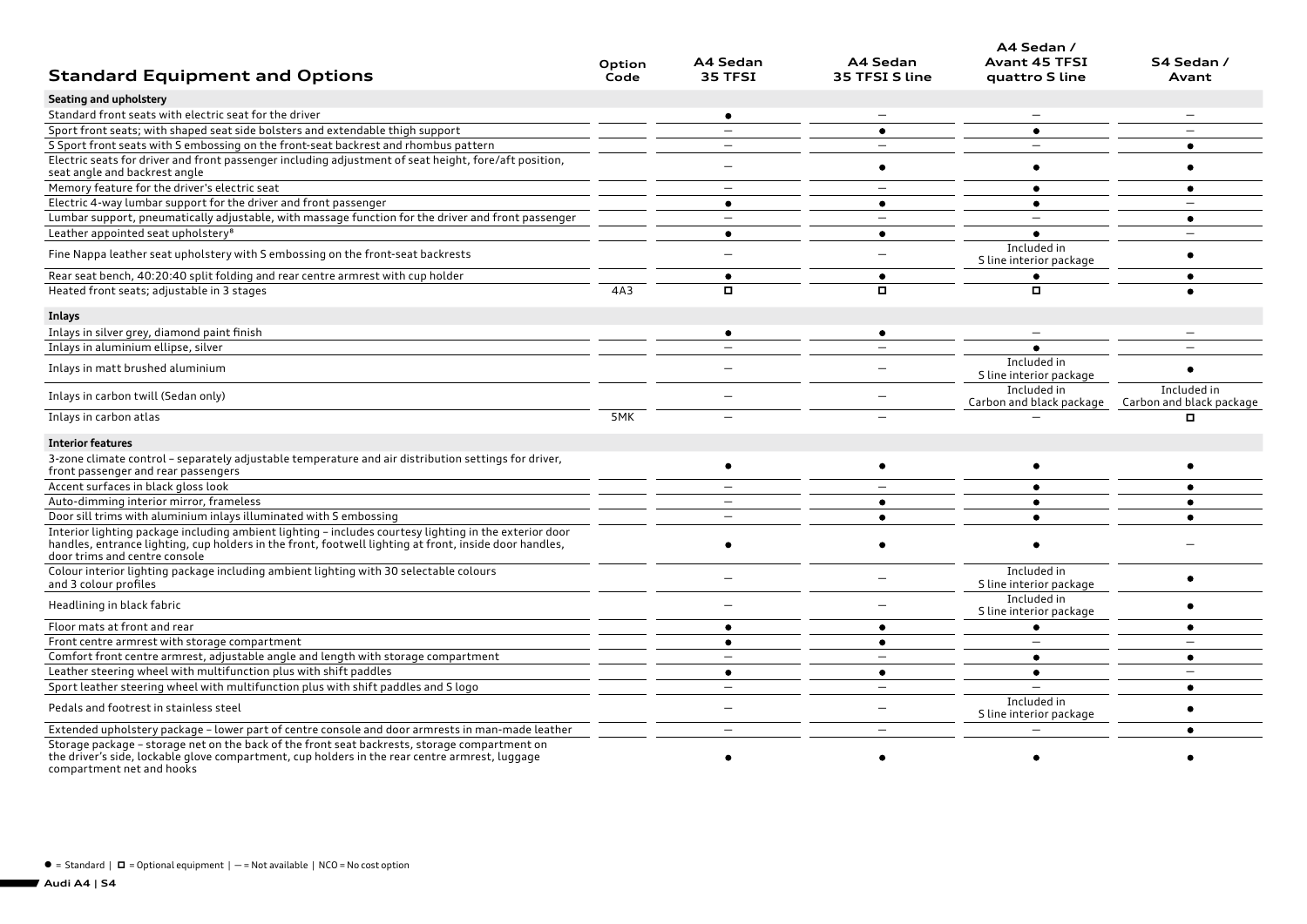|                                                                                                                                                                                                                                                   |                |                          |                            | A4 Sedan /                             |                                                                  |
|---------------------------------------------------------------------------------------------------------------------------------------------------------------------------------------------------------------------------------------------------|----------------|--------------------------|----------------------------|----------------------------------------|------------------------------------------------------------------|
| <b>Standard Equipment and Options</b>                                                                                                                                                                                                             | Option<br>Code | A4 Sedan<br>35 TFSI      | A4 Sedan<br>35 TFSI S line | <b>Avant 45 TFSI</b><br>quattro S line | S4 Sedan /<br>Avant                                              |
| Seating and upholstery                                                                                                                                                                                                                            |                |                          |                            |                                        |                                                                  |
| Standard front seats with electric seat for the driver                                                                                                                                                                                            |                | $\bullet$                |                            |                                        |                                                                  |
| Sport front seats; with shaped seat side bolsters and extendable thigh support                                                                                                                                                                    |                |                          | $\bullet$                  | $\bullet$                              |                                                                  |
| S Sport front seats with S embossing on the front-seat backrest and rhombus pattern                                                                                                                                                               |                | $\equiv$                 |                            | $\overline{\phantom{0}}$               | ٠                                                                |
| Electric seats for driver and front passenger including adjustment of seat height, fore/aft position,<br>seat angle and backrest angle                                                                                                            |                |                          | ٠                          |                                        | ٠                                                                |
| Memory feature for the driver's electric seat                                                                                                                                                                                                     |                | $\qquad \qquad -$        |                            |                                        | ٠                                                                |
| Electric 4-way lumbar support for the driver and front passenger                                                                                                                                                                                  |                | $\bullet$                | $\bullet$                  | $\bullet$                              | $\overline{\phantom{0}}$                                         |
| Lumbar support, pneumatically adjustable, with massage function for the driver and front passenger                                                                                                                                                |                |                          |                            |                                        | $\bullet$                                                        |
| Leather appointed seat upholstery <sup>8</sup>                                                                                                                                                                                                    |                | $\bullet$                | $\bullet$                  | $\bullet$                              |                                                                  |
| Fine Nappa leather seat upholstery with S embossing on the front-seat backrests                                                                                                                                                                   |                |                          |                            | Included in<br>S line interior package |                                                                  |
| Rear seat bench, 40:20:40 split folding and rear centre armrest with cup holder                                                                                                                                                                   |                | ٠                        | ٠                          |                                        | ٠                                                                |
| Heated front seats; adjustable in 3 stages                                                                                                                                                                                                        | 4A3            | $\Box$                   |                            | о                                      |                                                                  |
| Inlays                                                                                                                                                                                                                                            |                |                          |                            |                                        |                                                                  |
| Inlays in silver grey, diamond paint finish                                                                                                                                                                                                       |                | $\bullet$                | $\bullet$                  |                                        |                                                                  |
| Inlays in aluminium ellipse, silver                                                                                                                                                                                                               |                |                          |                            |                                        |                                                                  |
| Inlays in matt brushed aluminium                                                                                                                                                                                                                  |                |                          |                            | Included in<br>S line interior package |                                                                  |
| Inlays in carbon twill (Sedan only)                                                                                                                                                                                                               |                |                          |                            | Included in                            | Included in<br>Carbon and black package Carbon and black package |
| Inlays in carbon atlas                                                                                                                                                                                                                            | 5MK            |                          |                            |                                        | о                                                                |
| <b>Interior features</b>                                                                                                                                                                                                                          |                |                          |                            |                                        |                                                                  |
| 3-zone climate control - separately adjustable temperature and air distribution settings for driver,<br>front passenger and rear passengers                                                                                                       |                | ٠                        | $\bullet$                  |                                        | ٠                                                                |
| Accent surfaces in black gloss look                                                                                                                                                                                                               |                | $\overline{\phantom{0}}$ |                            | $\bullet$                              | ٠                                                                |
| Auto-dimming interior mirror, frameless                                                                                                                                                                                                           |                | $\overline{\phantom{0}}$ | $\bullet$                  |                                        | $\bullet$                                                        |
| Door sill trims with aluminium inlays illuminated with S embossing                                                                                                                                                                                |                | $\overline{\phantom{0}}$ | $\bullet$                  |                                        | $\bullet$                                                        |
| Interior lighting package including ambient lighting - includes courtesy lighting in the exterior door<br>handles, entrance lighting, cup holders in the front, footwell lighting at front, inside door handles,<br>door trims and centre console |                | $\bullet$                | $\bullet$                  |                                        |                                                                  |
| Colour interior lighting package including ambient lighting with 30 selectable colours<br>and 3 colour profiles                                                                                                                                   |                | —                        |                            | Included in<br>S line interior package | $\bullet$                                                        |
| Headlining in black fabric                                                                                                                                                                                                                        |                |                          |                            | Included in<br>S line interior package | $\bullet$                                                        |
| Floor mats at front and rear                                                                                                                                                                                                                      |                | $\bullet$                | $\bullet$                  | $\bullet$                              | ٠                                                                |
| Front centre armrest with storage compartment                                                                                                                                                                                                     |                | $\bullet$                | $\bullet$                  | $\overline{\phantom{0}}$               | $\overline{\phantom{a}}$                                         |
| Comfort front centre armrest, adjustable angle and length with storage compartment                                                                                                                                                                |                | $\overline{\phantom{0}}$ |                            | $\bullet$                              | $\bullet$                                                        |
| Leather steering wheel with multifunction plus with shift paddles                                                                                                                                                                                 |                | $\bullet$                | $\bullet$                  | $\bullet$                              |                                                                  |
| Sport leather steering wheel with multifunction plus with shift paddles and Slogo                                                                                                                                                                 |                | $\overline{\phantom{0}}$ | $\overline{\phantom{0}}$   |                                        | ٠                                                                |
| Pedals and footrest in stainless steel                                                                                                                                                                                                            |                |                          |                            | Included in<br>S line interior package |                                                                  |
| Extended upholstery package - lower part of centre console and door armrests in man-made leather                                                                                                                                                  |                |                          |                            |                                        |                                                                  |
| Storage package - storage net on the back of the front seat backrests, storage compartment on<br>the driver's side, lockable glove compartment, cup holders in the rear centre armrest, luggage<br>compartment net and hooks                      |                |                          |                            |                                        |                                                                  |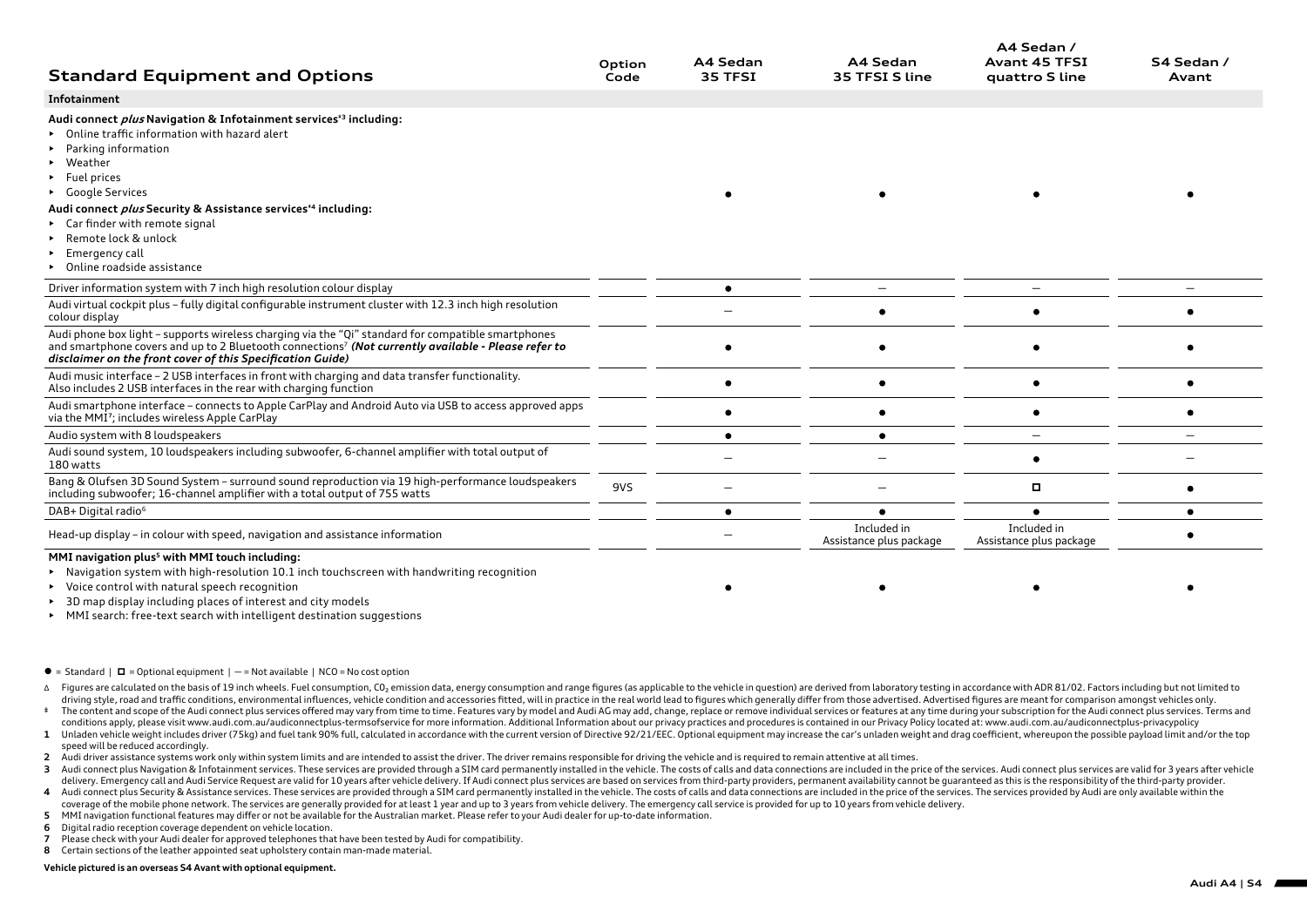| <b>Standard Equipment and Options</b>                                                                                                                                                                                                                                                                                  | Option<br>Code | A4 Sedan<br>35 TFSI | A4 Sedan<br>35 TFSI S line             | A4 Sedan /<br><b>Avant 45 TFSI</b><br>quattro S line | S4 Sedan /<br>Avant |
|------------------------------------------------------------------------------------------------------------------------------------------------------------------------------------------------------------------------------------------------------------------------------------------------------------------------|----------------|---------------------|----------------------------------------|------------------------------------------------------|---------------------|
| Infotainment                                                                                                                                                                                                                                                                                                           |                |                     |                                        |                                                      |                     |
| Audi connect <i>plus</i> Navigation & Infotainment services <sup>+3</sup> including:<br>Online traffic information with hazard alert<br>Parking information<br>• Weather<br>$\blacktriangleright$ Fuel prices<br>• Google Services<br>Audi connect <i>plus</i> Security & Assistance services <sup>*4</sup> including: |                |                     |                                        |                                                      |                     |
| ► Car finder with remote signal<br>Remote lock & unlock<br>$\triangleright$ Emergency call<br>• Online roadside assistance                                                                                                                                                                                             |                |                     |                                        |                                                      |                     |
| Driver information system with 7 inch high resolution colour display                                                                                                                                                                                                                                                   |                |                     |                                        |                                                      |                     |
| Audi virtual cockpit plus - fully digital configurable instrument cluster with 12.3 inch high resolution<br>colour display                                                                                                                                                                                             |                |                     |                                        |                                                      |                     |
| Audi phone box light - supports wireless charging via the "Qi" standard for compatible smartphones<br>and smartphone covers and up to 2 Bluetooth connections <sup>7</sup> (Not currently available - Please refer to<br>disclaimer on the front cover of this Specification Guide)                                    |                |                     |                                        |                                                      |                     |
| Audi music interface - 2 USB interfaces in front with charging and data transfer functionality.<br>Also includes 2 USB interfaces in the rear with charging function                                                                                                                                                   |                |                     |                                        |                                                      |                     |
| Audi smartphone interface - connects to Apple CarPlay and Android Auto via USB to access approved apps<br>via the MMI <sup>7</sup> ; includes wireless Apple CarPlay                                                                                                                                                   |                |                     |                                        |                                                      |                     |
| Audio system with 8 loudspeakers                                                                                                                                                                                                                                                                                       |                |                     |                                        |                                                      |                     |
| Audi sound system, 10 loudspeakers including subwoofer, 6-channel amplifier with total output of<br>180 watts                                                                                                                                                                                                          |                |                     |                                        |                                                      |                     |
| Bang & Olufsen 3D Sound System - surround sound reproduction via 19 high-performance loudspeakers<br>including subwoofer; 16-channel amplifier with a total output of 755 watts                                                                                                                                        | 9VS            |                     |                                        | о                                                    |                     |
| DAB+ Digital radio <sup>6</sup>                                                                                                                                                                                                                                                                                        |                |                     |                                        |                                                      |                     |
| Head-up display - in colour with speed, navigation and assistance information                                                                                                                                                                                                                                          |                |                     | Included in<br>Assistance plus package | Included in<br>Assistance plus package               |                     |

## **MMI navigation plus5 with MMI touch including:**

• Navigation system with high-resolution 10.1 inch touchscreen with handwriting recognition

- Voice control with natural speech recognition
- 3D map display including places of interest and city models
- MMI search: free-text search with intelligent destination suggestions
- $\bullet$  = Standard  $\bullet$  = Optional equipment  $\bullet$   $-$  = Not available  $\bullet$  NCO = No cost option
- A Figures are calculated on the basis of 19 inch wheels. Fuel consumption, CO<sub>2</sub> emission data, energy consumption and range figures (as applicable to the vehicle in question) are derived from laboratory testing in accorda driving style, road and traffic conditions, environmental influences, vehicle condition and accessories fitted, will in practice in the real world lead to figures which generally differ from those advertised. Advertised fi

 $\bullet$ 

- \* The content and scope of the Audi connect plus services offered may vary from time to time. Features vary by model and Audi AG may add, change, replace or remove individual services or features at any time during your su conditions apply, please visit www.audi.com.au/audiconnectplus-termsofservice for more information. Additional Information about our privacy practices and procedures is contained in our Privacy Policy located at: www.audi.
- 1 Unladen vehicle weight includes driver (75kg) and fuel tank 90% full, calculated in accordance with the current version of Directive 92/21/EEC. Optional equipment may increase the car's unladen weight and drag coefficien speed will be reduced accordingly.
- **2** Audi driver assistance systems work only within system limits and are intended to assist the driver. The driver remains responsible for driving the vehicle and is required to remain attentive at all times.
- 3 Audi connect plus Navigation & Infotainment services. These services are provided through a SIM card permanently installed in the vehicle. The costs of calls and data connections are included in the price of the services delivery. Emergency call and Audi Service Request are valid for 10 years after vehicle delivery. If Audi connect plus services are based on services from third-party providers, permanent availability cannot be quaranteed a
- 4 Audi connect plus Security & Assistance services. These services are provided through a SIM card permanently installed in the vehicle. The costs of calls and data connections are included in the price of the services. Th coverage of the mobile phone network. The services are generally provided for at least 1 year and up to 3 years from vehicle delivery. The emergency call service is provided for up to 10 years from vehicle delivery.
- **5** MMI navigation functional features may differ or not be available for the Australian market. Please refer to your Audi dealer for up-to-date information.
- **6** Digital radio reception coverage dependent on vehicle location.
- **7** Please check with your Audi dealer for approved telephones that have been tested by Audi for compatibility.
- **8** Certain sections of the leather appointed seat upholstery contain man-made material.

## **Vehicle pictured is an overseas S4 Avant with optional equipment.**